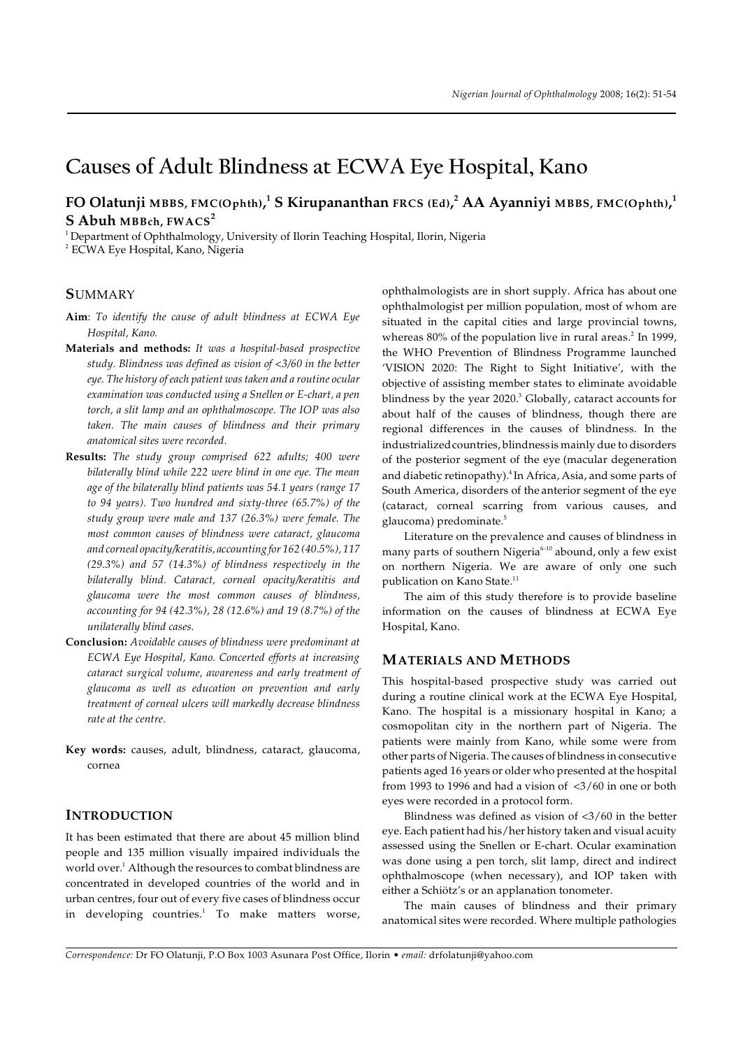# **Causes of Adult Blindness at ECWA Eye Hospital, Kano**

## **FO Olatunji MBBS, FMC(Ophth), S Kirupananthan FRCS (Ed), AA Ayanniyi MBBS, FMC(Ophth), 1 2 1 S Abuh MBBch, FWACS 2**

<sup>1</sup> Department of Ophthalmology, University of Ilorin Teaching Hospital, Ilorin, Nigeria

<sup>2</sup> ECWA Eye Hospital, Kano, Nigeria

### **S**UMMARY

- **Aim**: *To identify the cause of adult blindness at ECWA Eye Hospital, Kano.*
- **Materials and methods:** *It was a hospital-based prospective study. Blindness was defined as vision of <3/60 in the better eye. The history of each patient was taken and a routine ocular examination was conducted using a Snellen or E-chart, a pen torch, a slit lamp and an ophthalmoscope. The IOP was also taken. The main causes of blindness and their primary anatomical sites were recorded.*
- **Results:** *The study group comprised 622 adults; 400 were bilaterally blind while 222 were blind in one eye. The mean age of the bilaterally blind patients was 54.1 years (range 17 to 94 years). Two hundred and sixty-three (65.7%) of the study group were male and 137 (26.3%) were female. The most common causes of blindness were cataract, glaucoma and corneal opacity/keratitis, accounting for 162 (40.5%), 117 (29.3%) and 57 (14.3%) of blindness respectively in the bilaterally blind. Cataract, corneal opacity/keratitis and glaucoma were the most common causes of blindness, accounting for 94 (42.3%), 28 (12.6%) and 19 (8.7%) of the unilaterally blind cases.*
- **Conclusion:** *Avoidable causes of blindness were predominant at ECWA Eye Hospital, Kano. Concerted efforts at increasing cataract surgical volume, awareness and early treatment of glaucoma as well as education on prevention and early treatment of corneal ulcers will markedly decrease blindness rate at the centre.*
- **Key words:** causes, adult, blindness, cataract, glaucoma, cornea

#### **INTRODUCTION**

It has been estimated that there are about 45 million blind people and 135 million visually impaired individuals the world over.<sup>1</sup> Although the resources to combat blindness are concentrated in developed countries of the world and in urban centres, four out of every five cases of blindness occur in developing countries. $^1$  To make matters worse,

ophthalmologists are in short supply. Africa has about one ophthalmologist per million population, most of whom are situated in the capital cities and large provincial towns, whereas  $80\%$  of the population live in rural areas. $^2$  In 1999, the WHO Prevention of Blindness Programme launched 'VISION 2020: The Right to Sight Initiative', with the objective of assisting member states to eliminate avoidable blindness by the year 2020. $^3$  Globally, cataract accounts for about half of the causes of blindness, though there are regional differences in the causes of blindness. In the industrializedcountries, blindnessis mainly due to disorders of the posterior segment of the eye (macular degeneration and diabetic retinopathy). $^4$  In Africa, Asia, and some parts of South America, disorders of the anterior segment of the eye (cataract, corneal scarring from various causes, and glaucoma) predominate. 5

Literature on the prevalence and causes of blindness in many parts of southern Nigeria<sup>6-10</sup> abound, only a few exist on northern Nigeria. We are aware of only one such publication on Kano State.<sup>11</sup>

The aim of this study therefore is to provide baseline information on the causes of blindness at ECWA Eye Hospital, Kano.

#### **MATERIALS AND METHODS**

This hospital-based prospective study was carried out during a routine clinical work at the ECWA Eye Hospital, Kano. The hospital is a missionary hospital in Kano; a cosmopolitan city in the northern part of Nigeria. The patients were mainly from Kano, while some were from other parts of Nigeria. The causes of blindness in consecutive patients aged 16 years or older who presented at the hospital from 1993 to 1996 and had a vision of  $\langle 3/60 \rangle$  in one or both eyes were recorded in a protocol form.

Blindness was defined as vision of <3/60 in the better eye. Each patient had his/her history taken and visual acuity assessed using the Snellen or E-chart. Ocular examination was done using a pen torch, slit lamp, direct and indirect ophthalmoscope (when necessary), and IOP taken with either a Schiötz's or an applanation tonometer.

The main causes of blindness and their primary anatomical sites were recorded. Where multiple pathologies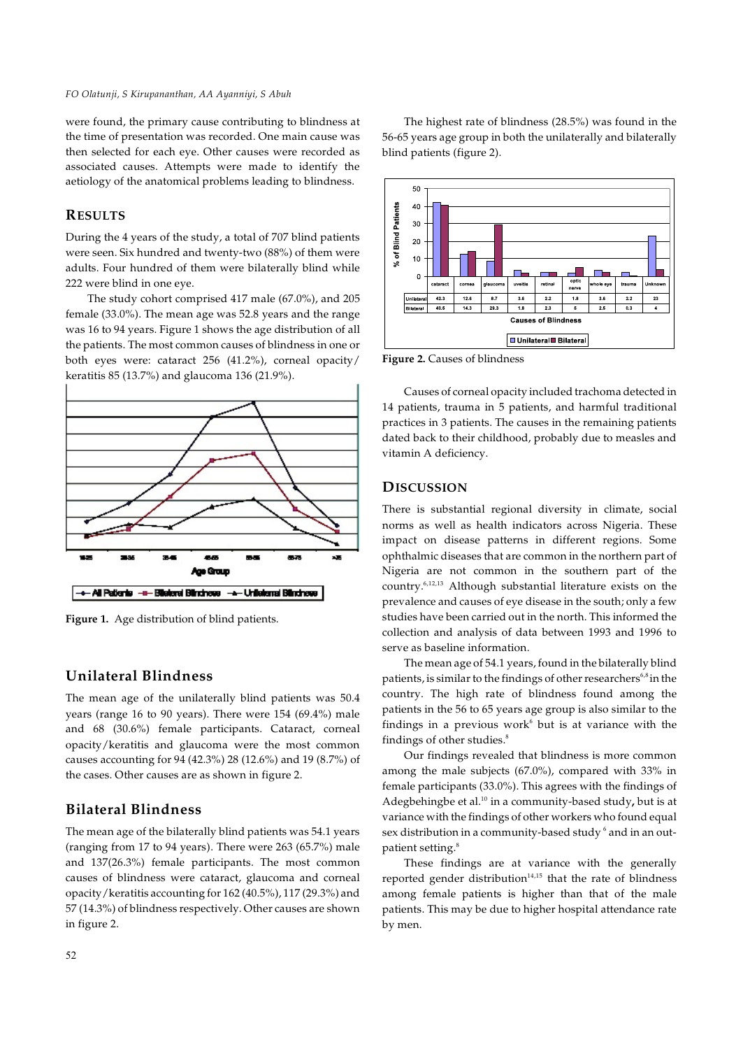#### *FO Olatunji, S Kirupananthan, AA Ayanniyi, S Abuh*

were found, the primary cause contributing to blindness at the time of presentation was recorded. One main cause was then selected for each eye. Other causes were recorded as associated causes. Attempts were made to identify the aetiology of the anatomical problems leading to blindness.

## **RESULTS**

During the 4 years of the study, a total of 707 blind patients were seen. Six hundred and twenty-two (88%) of them were adults. Four hundred of them were bilaterally blind while 222 were blind in one eye.

The study cohort comprised 417 male (67.0%), and 205 female (33.0%). The mean age was 52.8 years and the range was 16 to 94 years. Figure 1 shows the age distribution of all the patients. The most common causes of blindness in one or both eyes were: cataract 256 (41.2%), corneal opacity/ keratitis 85 (13.7%) and glaucoma 136 (21.9%).



**Figure 1.** Age distribution of blind patients.

## **Unilateral Blindness**

The mean age of the unilaterally blind patients was 50.4 years (range 16 to 90 years). There were 154 (69.4%) male and 68 (30.6%) female participants. Cataract, corneal opacity/keratitis and glaucoma were the most common causes accounting for 94 (42.3%) 28 (12.6%) and 19 (8.7%) of the cases. Other causes are as shown in figure 2.

## **Bilateral Blindness**

The mean age of the bilaterally blind patients was 54.1 years (ranging from 17 to 94 years). There were 263 (65.7%) male and 137(26.3%) female participants. The most common causes of blindness were cataract, glaucoma and corneal opacity/keratitis accounting for 162 (40.5%), 117 (29.3%) and 57 (14.3%) of blindness respectively. Other causes are shown in figure 2.

The highest rate of blindness (28.5%) was found in the 56-65 years age group in both the unilaterally and bilaterally blind patients (figure 2).



**Figure 2.** Causes of blindness

Causes of corneal opacity included trachoma detected in 14 patients, trauma in 5 patients, and harmful traditional practices in 3 patients. The causes in the remaining patients dated back to their childhood, probably due to measles and vitamin A deficiency.

#### **DISCUSSION**

There is substantial regional diversity in climate, social norms as well as health indicators across Nigeria. These impact on disease patterns in different regions. Some ophthalmic diseases that are common in the northern part of Nigeria are not common in the southern part of the country. $6.12,13$  Although substantial literature exists on the prevalence and causes of eye disease in the south; only a few studies have been carried out in the north. This informed the collection and analysis of data between 1993 and 1996 to serve as baseline information.

The mean age of 54.1 years, found in the bilaterally blind patients, is similar to the findings of other researchers<sup>6,8</sup> in the country. The high rate of blindness found among the patients in the 56 to 65 years age group is also similar to the findings in a previous work $6$  but is at variance with the findings of other studies. $^8$ 

Our findings revealed that blindness is more common among the male subjects (67.0%), compared with 33% in female participants (33.0%). This agrees with the findings of Adegbehingbe et al.<sup>10</sup> in a community-based study**,** but is at variance with the findings of other workers who found equal sex distribution in a community-based study  $^6$  and in an outpatient setting. 8

These findings are at variance with the generally reported gender distribution<sup>14,15</sup> that the rate of blindness among female patients is higher than that of the male patients. This may be due to higher hospital attendance rate by men.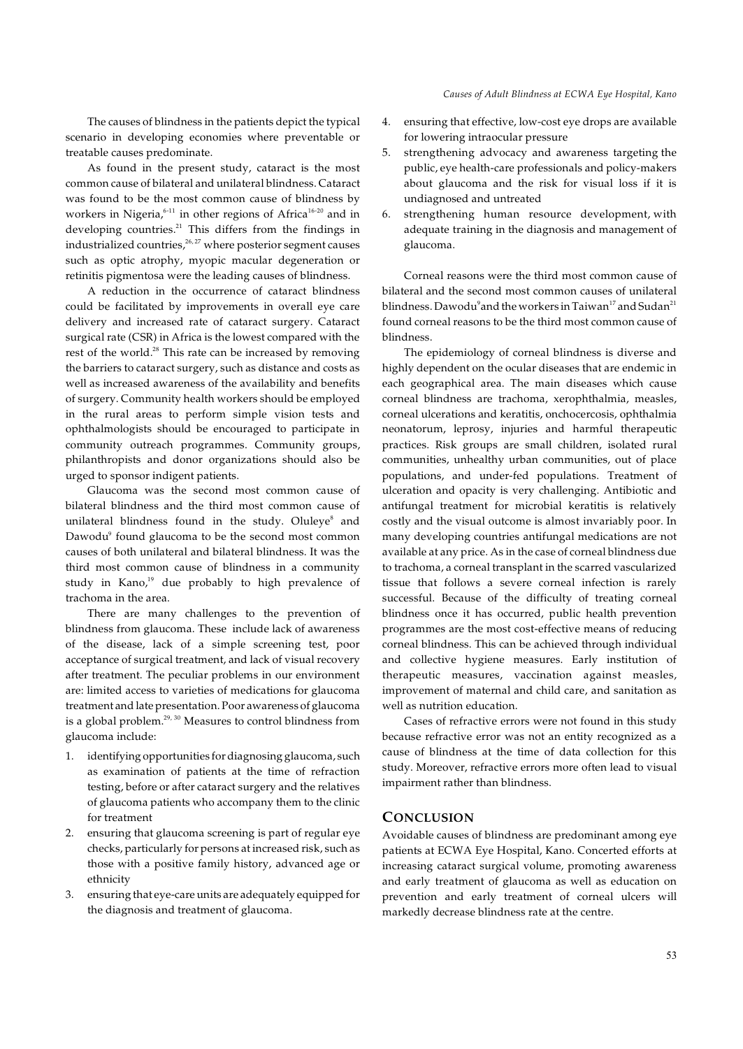The causes of blindness in the patients depict the typical scenario in developing economies where preventable or treatable causes predominate.

As found in the present study, cataract is the most common cause of bilateral and unilateral blindness. Cataract was found to be the most common cause of blindness by workers in Nigeria,  $6-11$  in other regions of Africa<sup>16-20</sup> and in developing countries. $21$  This differs from the findings in industrialized countries, $^{26,27}$  where posterior segment causes such as optic atrophy, myopic macular degeneration or retinitis pigmentosa were the leading causes of blindness.

A reduction in the occurrence of cataract blindness could be facilitated by improvements in overall eye care delivery and increased rate of cataract surgery. Cataract surgical rate (CSR) in Africa is the lowest compared with the rest of the world.<sup>28</sup> This rate can be increased by removing the barriers to cataract surgery, such as distance and costs as well as increased awareness of the availability and benefits of surgery. Community health workers should be employed in the rural areas to perform simple vision tests and ophthalmologists should be encouraged to participate in community outreach programmes. Community groups, philanthropists and donor organizations should also be urged to sponsor indigent patients.

Glaucoma was the second most common cause of bilateral blindness and the third most common cause of unilateral blindness found in the study. Oluleye<sup>8</sup> and  $Dawodu<sup>9</sup>$  found glaucoma to be the second most common causes of both unilateral and bilateral blindness. It was the third most common cause of blindness in a community study in Kano,<sup>19</sup> due probably to high prevalence of trachoma in the area.

There are many challenges to the prevention of blindness from glaucoma. These include lack of awareness of the disease, lack of a simple screening test, poor acceptance of surgical treatment, and lack of visual recovery after treatment. The peculiar problems in our environment are: limited access to varieties of medications for glaucoma treatment and late presentation. Poor awareness of glaucoma is a global problem.<sup>29, 30</sup> Measures to control blindness from glaucoma include:

- 1. identifying opportunities for diagnosing glaucoma, such as examination of patients at the time of refraction testing, before or after cataract surgery and the relatives of glaucoma patients who accompany them to the clinic for treatment
- 2. ensuring that glaucoma screening is part of regular eye checks, particularly for persons at increased risk, such as those with a positive family history, advanced age or ethnicity
- 3. ensuring that eye-care units are adequately equipped for the diagnosis and treatment of glaucoma.
- ensuring that effective, low-cost eye drops are available for lowering intraocular pressure
- 5. strengthening advocacy and awareness targeting the public, eye health-care professionals and policy-makers about glaucoma and the risk for visual loss if it is undiagnosed and untreated
- 6. strengthening human resource development, with adequate training in the diagnosis and management of glaucoma.

Corneal reasons were the third most common cause of bilateral and the second most common causes of unilateral blindness. Dawodu $^{\circ}$ and the workers in Taiwan $^{\scriptscriptstyle{17}}$  and Sudan $^{\scriptscriptstyle{21}}$ found corneal reasons to be the third most common cause of blindness.

The epidemiology of corneal blindness is diverse and highly dependent on the ocular diseases that are endemic in each geographical area. The main diseases which cause corneal blindness are trachoma, xerophthalmia, measles, corneal ulcerations and keratitis, onchocercosis, ophthalmia neonatorum, leprosy, injuries and harmful therapeutic practices. Risk groups are small children, isolated rural communities, unhealthy urban communities, out of place populations, and under-fed populations. Treatment of ulceration and opacity is very challenging. Antibiotic and antifungal treatment for microbial keratitis is relatively costly and the visual outcome is almost invariably poor. In many developing countries antifungal medications are not available at any price. As in the case of corneal blindness due to trachoma, a corneal transplant in the scarred vascularized tissue that follows a severe corneal infection is rarely successful. Because of the difficulty of treating corneal blindness once it has occurred, public health prevention programmes are the most cost-effective means of reducing corneal blindness. This can be achieved through individual and collective hygiene measures. Early institution of therapeutic measures, vaccination against measles, improvement of maternal and child care, and sanitation as well as nutrition education.

Cases of refractive errors were not found in this study because refractive error was not an entity recognized as a cause of blindness at the time of data collection for this study. Moreover, refractive errors more often lead to visual impairment rather than blindness.

#### **CONCLUSION**

Avoidable causes of blindness are predominant among eye patients at ECWA Eye Hospital, Kano. Concerted efforts at increasing cataract surgical volume, promoting awareness and early treatment of glaucoma as well as education on prevention and early treatment of corneal ulcers will markedly decrease blindness rate at the centre.